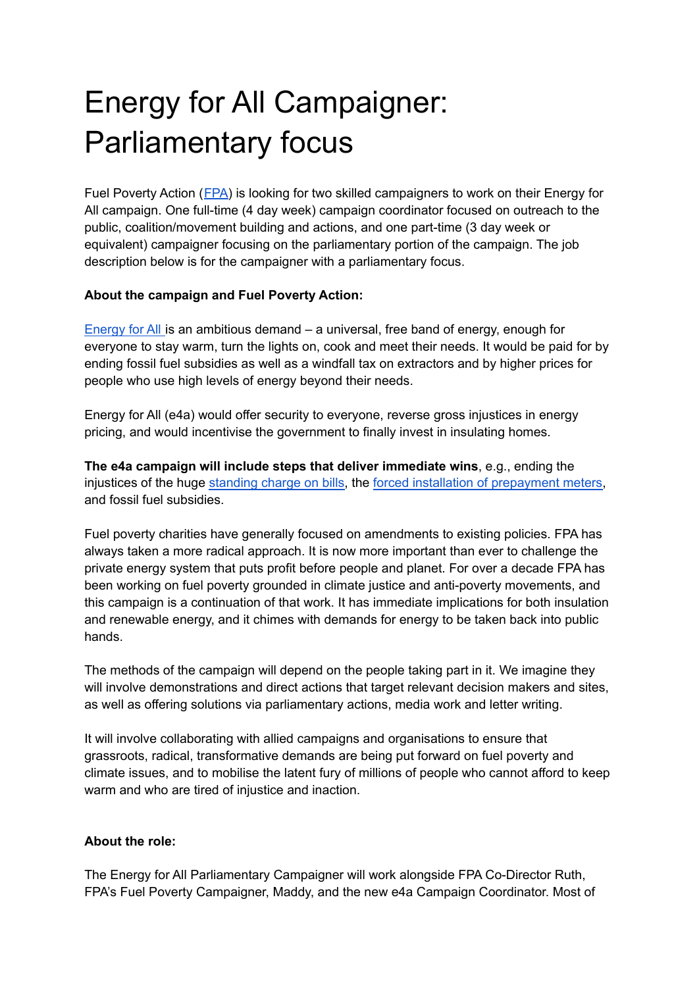## Energy for All Campaigner: Parliamentary focus

Fuel Poverty Action ([FPA\)](https://www.fuelpovertyaction.org.uk/) is looking for two skilled campaigners to work on their Energy for All campaign. One full-time (4 day week) campaign coordinator focused on outreach to the public, coalition/movement building and actions, and one part-time (3 day week or equivalent) campaigner focusing on the parliamentary portion of the campaign. The job description below is for the campaigner with a parliamentary focus.

## **About the campaign and Fuel Poverty Action:**

[Energy](https://www.change.org/p/energyforall-everyone-has-a-right-to-the-energy-needed-for-heating-cooking-and-light) for All is an ambitious demand – a universal, free band of energy, enough for everyone to stay warm, turn the lights on, cook and meet their needs. It would be paid for by ending fossil fuel subsidies as well as a windfall tax on extractors and by higher prices for people who use high levels of energy beyond their needs.

Energy for All (e4a) would offer security to everyone, reverse gross injustices in energy pricing, and would incentivise the government to finally invest in insulating homes.

**The e4a campaign will include steps that deliver immediate wins**, e.g., ending the injustices of the huge [standing](https://www.fuelpovertyaction.org.uk/press-release/press-release-fpa-tells-ofgem-standing-charge-discrimination-must-stop-now/) charge on bills, the forced installation of [prepayment](https://www.fuelpovertyaction.org.uk/campaigns/heat-and-light-are-basic-rights-energy-customers-need-the-same-rights-and-protections-as-domestic-water-customers-and-we-need-it-now/) meters, and fossil fuel subsidies.

Fuel poverty charities have generally focused on amendments to existing policies. FPA has always taken a more radical approach. It is now more important than ever to challenge the private energy system that puts profit before people and planet. For over a decade FPA has been working on fuel poverty grounded in climate justice and anti-poverty movements, and this campaign is a continuation of that work. It has immediate implications for both insulation and renewable energy, and it chimes with demands for energy to be taken back into public hands.

The methods of the campaign will depend on the people taking part in it. We imagine they will involve demonstrations and direct actions that target relevant decision makers and sites, as well as offering solutions via parliamentary actions, media work and letter writing.

It will involve collaborating with allied campaigns and organisations to ensure that grassroots, radical, transformative demands are being put forward on fuel poverty and climate issues, and to mobilise the latent fury of millions of people who cannot afford to keep warm and who are tired of injustice and inaction.

## **About the role:**

The Energy for All Parliamentary Campaigner will work alongside FPA Co-Director Ruth, FPA's Fuel Poverty Campaigner, Maddy, and the new e4a Campaign Coordinator. Most of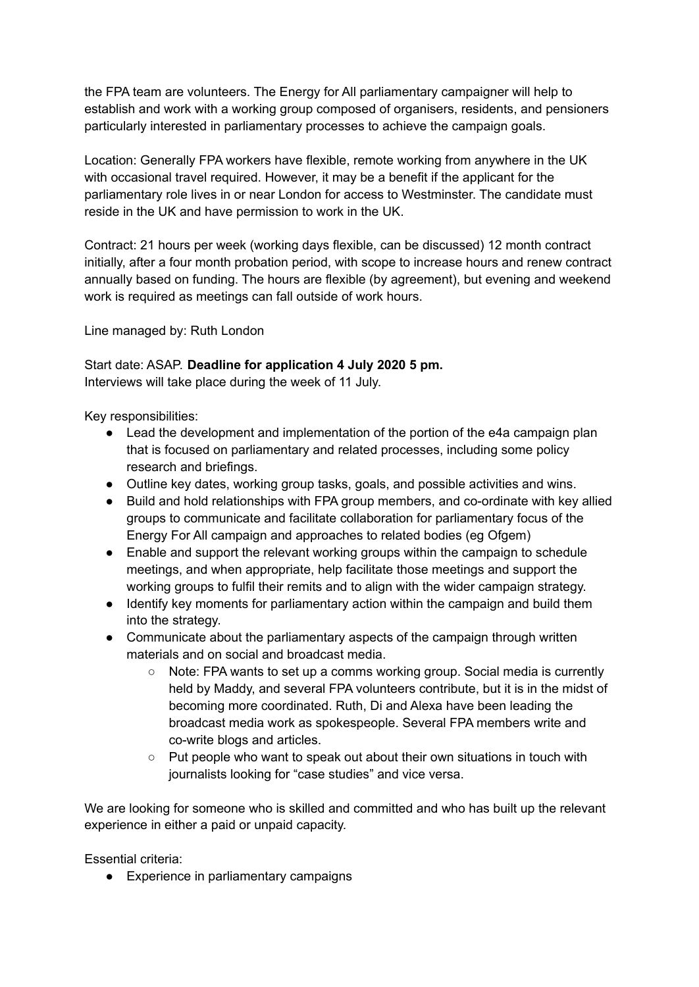the FPA team are volunteers. The Energy for All parliamentary campaigner will help to establish and work with a working group composed of organisers, residents, and pensioners particularly interested in parliamentary processes to achieve the campaign goals.

Location: Generally FPA workers have flexible, remote working from anywhere in the UK with occasional travel required. However, it may be a benefit if the applicant for the parliamentary role lives in or near London for access to Westminster. The candidate must reside in the UK and have permission to work in the UK.

Contract: 21 hours per week (working days flexible, can be discussed) 12 month contract initially, after a four month probation period, with scope to increase hours and renew contract annually based on funding. The hours are flexible (by agreement), but evening and weekend work is required as meetings can fall outside of work hours.

Line managed by: Ruth London

Start date: ASAP. **Deadline for application 4 July 2020 5 pm.**

Interviews will take place during the week of 11 July.

Key responsibilities:

- Lead the development and implementation of the portion of the e4a campaign plan that is focused on parliamentary and related processes, including some policy research and briefings.
- Outline key dates, working group tasks, goals, and possible activities and wins.
- Build and hold relationships with FPA group members, and co-ordinate with key allied groups to communicate and facilitate collaboration for parliamentary focus of the Energy For All campaign and approaches to related bodies (eg Ofgem)
- Enable and support the relevant working groups within the campaign to schedule meetings, and when appropriate, help facilitate those meetings and support the working groups to fulfil their remits and to align with the wider campaign strategy.
- Identify key moments for parliamentary action within the campaign and build them into the strategy.
- Communicate about the parliamentary aspects of the campaign through written materials and on social and broadcast media.
	- $\circ$  Note: FPA wants to set up a comms working group. Social media is currently held by Maddy, and several FPA volunteers contribute, but it is in the midst of becoming more coordinated. Ruth, Di and Alexa have been leading the broadcast media work as spokespeople. Several FPA members write and co-write blogs and articles.
	- Put people who want to speak out about their own situations in touch with journalists looking for "case studies" and vice versa.

We are looking for someone who is skilled and committed and who has built up the relevant experience in either a paid or unpaid capacity.

Essential criteria:

● Experience in parliamentary campaigns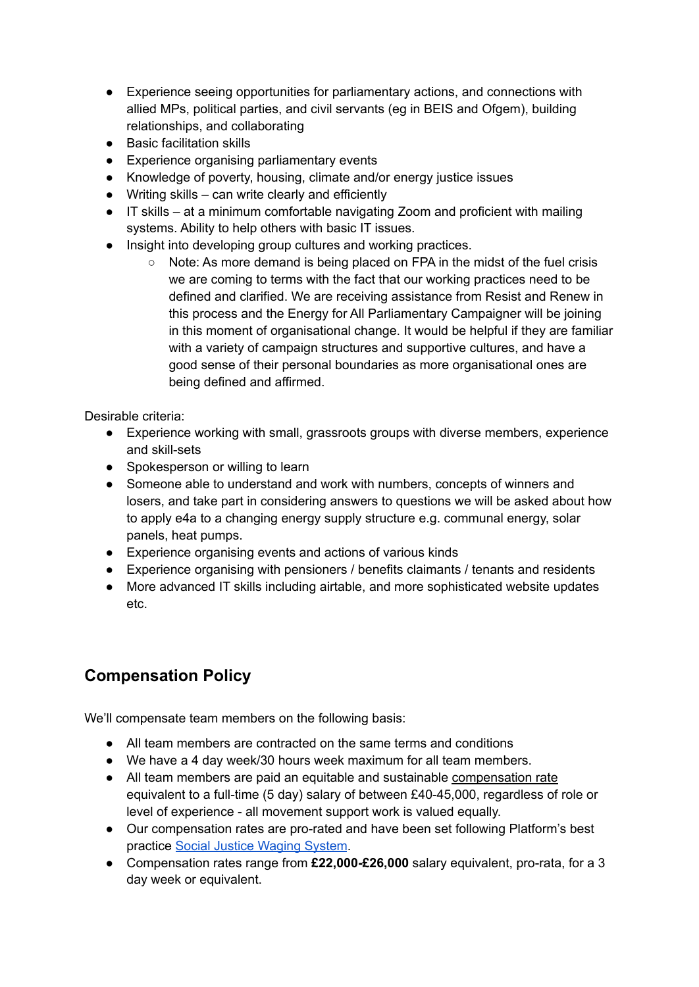- Experience seeing opportunities for parliamentary actions, and connections with allied MPs, political parties, and civil servants (eg in BEIS and Ofgem), building relationships, and collaborating
- Basic facilitation skills
- Experience organising parliamentary events
- Knowledge of poverty, housing, climate and/or energy justice issues
- $\bullet$  Writing skills can write clearly and efficiently
- IT skills at a minimum comfortable navigating Zoom and proficient with mailing systems. Ability to help others with basic IT issues.
- Insight into developing group cultures and working practices.
	- Note: As more demand is being placed on FPA in the midst of the fuel crisis we are coming to terms with the fact that our working practices need to be defined and clarified. We are receiving assistance from Resist and Renew in this process and the Energy for All Parliamentary Campaigner will be joining in this moment of organisational change. It would be helpful if they are familiar with a variety of campaign structures and supportive cultures, and have a good sense of their personal boundaries as more organisational ones are being defined and affirmed.

Desirable criteria:

- Experience working with small, grassroots groups with diverse members, experience and skill-sets
- Spokesperson or willing to learn
- Someone able to understand and work with numbers, concepts of winners and losers, and take part in considering answers to questions we will be asked about how to apply e4a to a changing energy supply structure e.g. communal energy, solar panels, heat pumps.
- Experience organising events and actions of various kinds
- Experience organising with pensioners / benefits claimants / tenants and residents
- More advanced IT skills including airtable, and more sophisticated website updates etc.

## **Compensation Policy**

We'll compensate team members on the following basis:

- All team members are contracted on the same terms and conditions
- We have a 4 day week/30 hours week maximum for all team members.
- All team members are paid an equitable and sustainable compensation rate equivalent to a full-time (5 day) salary of between £40-45,000, regardless of role or level of experience - all movement support work is valued equally.
- Our compensation rates are pro-rated and have been set following Platform's best practice Social Justice [Waging](https://platformlondon.org/wp-content/uploads/2011/09/social-justice-waging-system-dec-2005.pdf) System.
- Compensation rates range from **£22,000-£26,000** salary equivalent, pro-rata, for a 3 day week or equivalent.